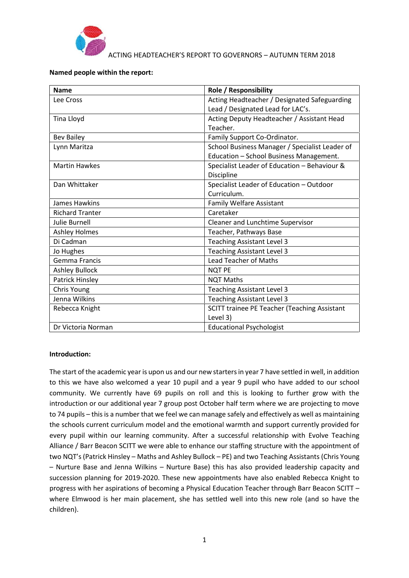

ACTING HEADTEACHER'S REPORT TO GOVERNORS – AUTUMN TERM 2018

#### **Named people within the report:**

| <b>Name</b>            | <b>Role / Responsibility</b>                   |
|------------------------|------------------------------------------------|
| Lee Cross              | Acting Headteacher / Designated Safeguarding   |
|                        | Lead / Designated Lead for LAC's.              |
| Tina Lloyd             | Acting Deputy Headteacher / Assistant Head     |
|                        | Teacher.                                       |
| <b>Bev Bailey</b>      | Family Support Co-Ordinator.                   |
| Lynn Maritza           | School Business Manager / Specialist Leader of |
|                        | Education - School Business Management.        |
| <b>Martin Hawkes</b>   | Specialist Leader of Education - Behaviour &   |
|                        | Discipline                                     |
| Dan Whittaker          | Specialist Leader of Education - Outdoor       |
|                        | Curriculum.                                    |
| James Hawkins          | <b>Family Welfare Assistant</b>                |
| <b>Richard Tranter</b> | Caretaker                                      |
| <b>Julie Burnell</b>   | Cleaner and Lunchtime Supervisor               |
| <b>Ashley Holmes</b>   | Teacher, Pathways Base                         |
| Di Cadman              | <b>Teaching Assistant Level 3</b>              |
| Jo Hughes              | <b>Teaching Assistant Level 3</b>              |
| <b>Gemma Francis</b>   | <b>Lead Teacher of Maths</b>                   |
| <b>Ashley Bullock</b>  | <b>NQT PE</b>                                  |
| Patrick Hinsley        | <b>NQT Maths</b>                               |
| Chris Young            | <b>Teaching Assistant Level 3</b>              |
| Jenna Wilkins          | <b>Teaching Assistant Level 3</b>              |
| Rebecca Knight         | SCITT trainee PE Teacher (Teaching Assistant   |
|                        | Level 3)                                       |
| Dr Victoria Norman     | <b>Educational Psychologist</b>                |

#### **Introduction:**

The start of the academic year is upon us and our new starters in year 7 have settled in well, in addition to this we have also welcomed a year 10 pupil and a year 9 pupil who have added to our school community. We currently have 69 pupils on roll and this is looking to further grow with the introduction or our additional year 7 group post October half term where we are projecting to move to 74 pupils – this is a number that we feel we can manage safely and effectively as well as maintaining the schools current curriculum model and the emotional warmth and support currently provided for every pupil within our learning community. After a successful relationship with Evolve Teaching Alliance / Barr Beacon SCITT we were able to enhance our staffing structure with the appointment of two NQT's (Patrick Hinsley – Maths and Ashley Bullock – PE) and two Teaching Assistants (Chris Young – Nurture Base and Jenna Wilkins – Nurture Base) this has also provided leadership capacity and succession planning for 2019-2020. These new appointments have also enabled Rebecca Knight to progress with her aspirations of becoming a Physical Education Teacher through Barr Beacon SCITT – where Elmwood is her main placement, she has settled well into this new role (and so have the children).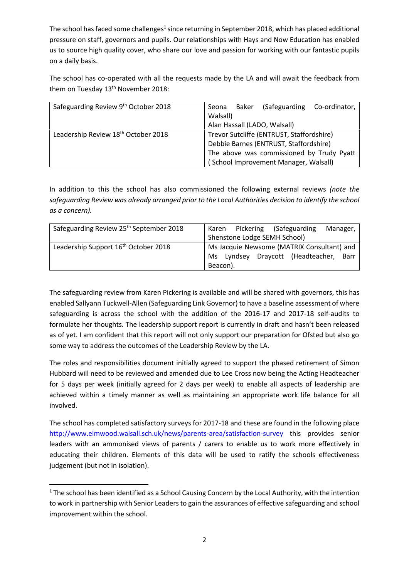The school has faced some challenges<sup>1</sup> since returning in September 2018, which has placed additional pressure on staff, governors and pupils. Our relationships with Hays and Now Education has enabled us to source high quality cover, who share our love and passion for working with our fantastic pupils on a daily basis.

The school has co-operated with all the requests made by the LA and will await the feedback from them on Tuesday  $13<sup>th</sup>$  November 2018:

| Safeguarding Review 9th October 2018 | (Safeguarding Co-ordinator,<br>Baker<br>Seona<br>Walsall)<br>Alan Hassall (LADO, Walsall)                                                                                 |
|--------------------------------------|---------------------------------------------------------------------------------------------------------------------------------------------------------------------------|
| Leadership Review 18th October 2018  | Trevor Sutcliffe (ENTRUST, Staffordshire)<br>Debbie Barnes (ENTRUST, Staffordshire)<br>The above was commissioned by Trudy Pyatt<br>(School Improvement Manager, Walsall) |

In addition to this the school has also commissioned the following external reviews *(note the safeguarding Review was already arranged prior to the Local Authorities decision to identify the school as a concern).*

| Safeguarding Review 25 <sup>th</sup> September 2018 | Pickering (Safeguarding<br>Manager,<br>Karen |  |
|-----------------------------------------------------|----------------------------------------------|--|
|                                                     | Shenstone Lodge SEMH School)                 |  |
| Leadership Support 16 <sup>th</sup> October 2018    | Ms Jacquie Newsome (MATRIX Consultant) and   |  |
|                                                     | Lyndsey Draycott (Headteacher,<br>Ms<br>Barr |  |
|                                                     | Beacon).                                     |  |

The safeguarding review from Karen Pickering is available and will be shared with governors, this has enabled Sallyann Tuckwell-Allen (Safeguarding Link Governor) to have a baseline assessment of where safeguarding is across the school with the addition of the 2016-17 and 2017-18 self-audits to formulate her thoughts. The leadership support report is currently in draft and hasn't been released as of yet. I am confident that this report will not only support our preparation for Ofsted but also go some way to address the outcomes of the Leadership Review by the LA.

The roles and responsibilities document initially agreed to support the phased retirement of Simon Hubbard will need to be reviewed and amended due to Lee Cross now being the Acting Headteacher for 5 days per week (initially agreed for 2 days per week) to enable all aspects of leadership are achieved within a timely manner as well as maintaining an appropriate work life balance for all involved.

The school has completed satisfactory surveys for 2017-18 and these are found in the following place http://www.elmwood.walsall.sch.uk/news/parents-area/satisfaction-survey this provides senior leaders with an ammonised views of parents / carers to enable us to work more effectively in educating their children. Elements of this data will be used to ratify the schools effectiveness judgement (but not in isolation).

 $1$  The school has been identified as a School Causing Concern by the Local Authority, with the intention to work in partnership with Senior Leaders to gain the assurances of effective safeguarding and school improvement within the school.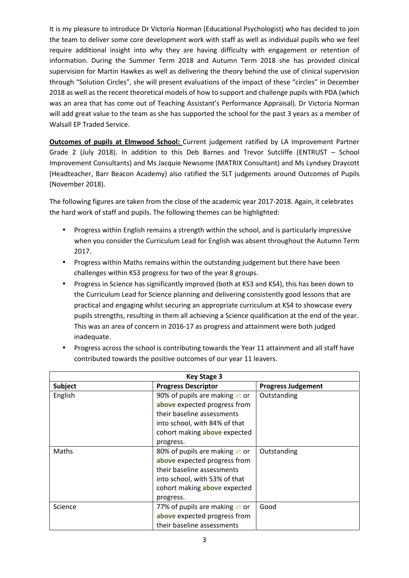It is my pleasure to introduce Dr Victoria Norman (Educational Psychologist) who has decided to join the team to deliver some core development work with staff as well as individual pupils who we feel require additional insight into why they are having difficulty with engagement or retention of information. During the Summer Term 2018 and Autumn Term 2018 she has provided clinical supervision for Martin Hawkes as well as delivering the theory behind the use of clinical supervision through "Solution Circles", she will present evaluations of the impact of these "circles" in December 2018 as well as the recent theoretical models of how to support and challenge pupils with PDA (which was an area that has come out of Teaching Assistant's Performance Appraisal). Dr Victoria Norman will add great value to the team as she has supported the school for the past 3 years as a member of Walsall EP Traded Service.

**Outcomes of pupils at Elmwood School:** Current judgement ratified by LA Improvement Partner Grade 2 (July 2018). In addition to this Deb Barnes and Trevor Sutcliffe (ENTRUST – School Improvement Consultants) and Ms Jacquie Newsome (MATRIX Consultant) and Ms Lyndsey Draycott (Headteacher, Barr Beacon Academy) also ratified the SLT judgements around Outcomes of Pupils (November 2018).

The following figures are taken from the close of the academic year 2017-2018. Again, it celebrates the hard work of staff and pupils. The following themes can be highlighted:

- Progress within English remains a strength within the school, and is particularly impressive when you consider the Curriculum Lead for English was absent throughout the Autumn Term 2017.
- Progress within Maths remains within the outstanding judgement but there have been challenges within KS3 progress for two of the year 8 groups.
- Progress in Science has significantly improved (both at KS3 and KS4), this has been down to the Curriculum Lead for Science planning and delivering consistently good lessons that are practical and engaging whilst securing an appropriate curriculum at KS4 to showcase every pupils strengths, resulting in them all achieving a Science qualification at the end of the year. This was an area of concern in 2016-17 as progress and attainment were both judged inadequate.

| <b>Key Stage 3</b> |                                                                                                                                                                            |                           |  |
|--------------------|----------------------------------------------------------------------------------------------------------------------------------------------------------------------------|---------------------------|--|
| <b>Subject</b>     | <b>Progress Descriptor</b>                                                                                                                                                 | <b>Progress Judgement</b> |  |
| English            | 90% of pupils are making at or<br>above expected progress from<br>their baseline assessments<br>into school, with 84% of that<br>cohort making above expected<br>progress. | Outstanding               |  |
| Maths              | 80% of pupils are making at or<br>above expected progress from<br>their baseline assessments<br>into school, with 53% of that<br>cohort making above expected<br>progress. | Outstanding               |  |
| Science            | 77% of pupils are making at or<br>above expected progress from<br>their baseline assessments                                                                               | Good                      |  |

 Progress across the school is contributing towards the Year 11 attainment and all staff have contributed towards the positive outcomes of our year 11 leavers.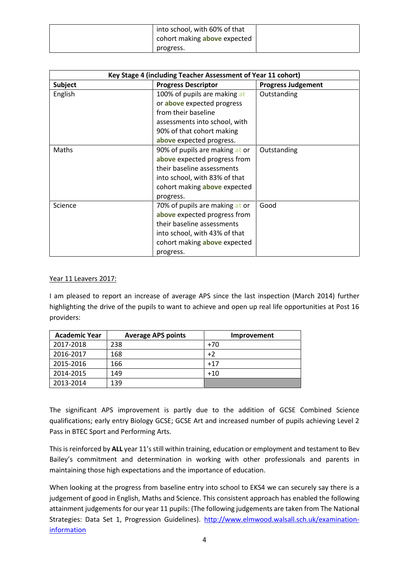| into school, with 60% of that<br>cohort making <b>above</b> expected |  |
|----------------------------------------------------------------------|--|
| progress.                                                            |  |

| Key Stage 4 (including Teacher Assessment of Year 11 cohort) |                                |                           |  |
|--------------------------------------------------------------|--------------------------------|---------------------------|--|
| <b>Subject</b>                                               | <b>Progress Descriptor</b>     | <b>Progress Judgement</b> |  |
| English                                                      | 100% of pupils are making at   | Outstanding               |  |
|                                                              | or above expected progress     |                           |  |
|                                                              | from their baseline            |                           |  |
|                                                              | assessments into school, with  |                           |  |
|                                                              | 90% of that cohort making      |                           |  |
|                                                              | above expected progress.       |                           |  |
| Maths                                                        | 90% of pupils are making at or | Outstanding               |  |
|                                                              | above expected progress from   |                           |  |
|                                                              | their baseline assessments     |                           |  |
|                                                              | into school, with 83% of that  |                           |  |
|                                                              | cohort making above expected   |                           |  |
|                                                              | progress.                      |                           |  |
| Science                                                      | 70% of pupils are making at or | Good                      |  |
|                                                              | above expected progress from   |                           |  |
|                                                              | their baseline assessments     |                           |  |
|                                                              | into school, with 43% of that  |                           |  |
|                                                              | cohort making above expected   |                           |  |
|                                                              | progress.                      |                           |  |

#### Year 11 Leavers 2017:

I am pleased to report an increase of average APS since the last inspection (March 2014) further highlighting the drive of the pupils to want to achieve and open up real life opportunities at Post 16 providers:

| <b>Academic Year</b> | <b>Average APS points</b> | Improvement |
|----------------------|---------------------------|-------------|
| 2017-2018            | 238                       | $+70$       |
| 2016-2017            | 168                       | $+2$        |
| 2015-2016            | 166                       | $+17$       |
| 2014-2015            | 149                       | $+10$       |
| 2013-2014            | 139                       |             |

The significant APS improvement is partly due to the addition of GCSE Combined Science qualifications; early entry Biology GCSE; GCSE Art and increased number of pupils achieving Level 2 Pass in BTEC Sport and Performing Arts.

This is reinforced by **ALL** year 11's still within training, education or employment and testament to Bev Bailey's commitment and determination in working with other professionals and parents in maintaining those high expectations and the importance of education.

When looking at the progress from baseline entry into school to EKS4 we can securely say there is a judgement of good in English, Maths and Science. This consistent approach has enabled the following attainment judgements for our year 11 pupils: (The following judgements are taken from The National Strategies: Data Set 1, Progression Guidelines). http://www.elmwood.walsall.sch.uk/examinationinformation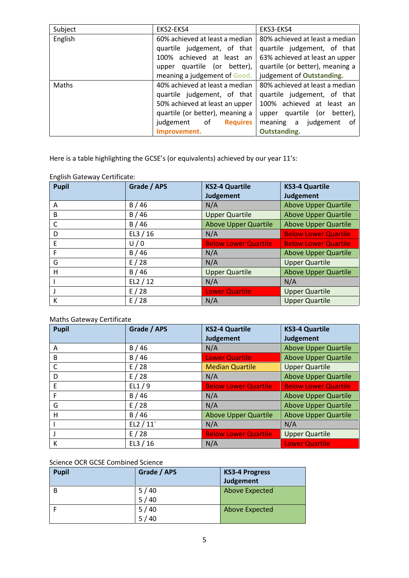| Subject | EKS2-EKS4                       | EKS3-EKS4                       |
|---------|---------------------------------|---------------------------------|
| English | 60% achieved at least a median  | 80% achieved at least a median  |
|         | quartile judgement, of that     | quartile judgement, of that     |
|         | achieved at least an<br>100%    | 63% achieved at least an upper  |
|         | upper quartile (or better),     | quartile (or better), meaning a |
|         | meaning a judgement of Good.    | judgement of Outstanding.       |
| Maths   | 40% achieved at least a median  | 80% achieved at least a median  |
|         | quartile judgement, of that     | quartile judgement, of that     |
|         | 50% achieved at least an upper  | 100% achieved at least an       |
|         | quartile (or better), meaning a | quartile (or better),<br>upper  |
|         | judgement of<br><b>Requires</b> | meaning a judgement of          |
|         | Improvement.                    | <b>Outstanding.</b>             |

Here is a table highlighting the GCSE's (or equivalents) achieved by our year 11's:

| <b>Pupil</b> | Grade / APS | <b>KS2-4 Quartile</b>       | <b>KS3-4 Quartile</b>       |
|--------------|-------------|-----------------------------|-----------------------------|
|              |             | Judgement                   | Judgement                   |
| A            | B/46        | N/A                         | <b>Above Upper Quartile</b> |
| B            | B/46        | <b>Upper Quartile</b>       | <b>Above Upper Quartile</b> |
| C            | B/46        | <b>Above Upper Quartile</b> | <b>Above Upper Quartile</b> |
| D            | EL3 $/$ 16  | N/A                         | <b>Below Lower Quartile</b> |
| E            | U/0         | <b>Below Lower Quartile</b> | <b>Below Lower Quartile</b> |
| F            | B/46        | N/A                         | <b>Above Upper Quartile</b> |
| G            | E/28        | N/A                         | <b>Upper Quartile</b>       |
| Н            | B/46        | <b>Upper Quartile</b>       | <b>Above Upper Quartile</b> |
|              | EL2/12      | N/A                         | N/A                         |
|              | E/28        | <b>Lower Quartile</b>       | <b>Upper Quartile</b>       |
| К            | E/28        | N/A                         | <b>Upper Quartile</b>       |

English Gateway Certificate:

# Maths Gateway Certificate

| <b>Pupil</b> | Grade / APS | <b>KS2-4 Quartile</b>       | <b>KS3-4 Quartile</b>       |
|--------------|-------------|-----------------------------|-----------------------------|
|              |             | <b>Judgement</b>            | Judgement                   |
| A            | B/46        | N/A                         | <b>Above Upper Quartile</b> |
| B            | B/46        | <b>Lower Quartile</b>       | <b>Above Upper Quartile</b> |
| C            | E/28        | <b>Median Quartile</b>      | <b>Upper Quartile</b>       |
| D            | E/28        | N/A                         | <b>Above Upper Quartile</b> |
| E            | EL1/9       | <b>Below Lower Quartile</b> | <b>Below Lower Quartile</b> |
| F            | B/46        | N/A                         | <b>Above Upper Quartile</b> |
| G            | E/28        | N/A                         | <b>Above Upper Quartile</b> |
| н            | B/46        | <b>Above Upper Quartile</b> | <b>Above Upper Quartile</b> |
|              | EL2 / 11    | N/A                         | N/A                         |
|              | E/28        | <b>Below Lower Quartile</b> | <b>Upper Quartile</b>       |
| к            | EL3/16      | N/A                         | <b>Lower Quartile</b>       |

# Science OCR GCSE Combined Science

| <b>Pupil</b> | Grade / APS | <b>KS3-4 Progress</b><br><b>Judgement</b> |
|--------------|-------------|-------------------------------------------|
| B            | 5/40        | <b>Above Expected</b>                     |
|              | 5/40        |                                           |
|              | 5/40        | <b>Above Expected</b>                     |
|              | 5/40        |                                           |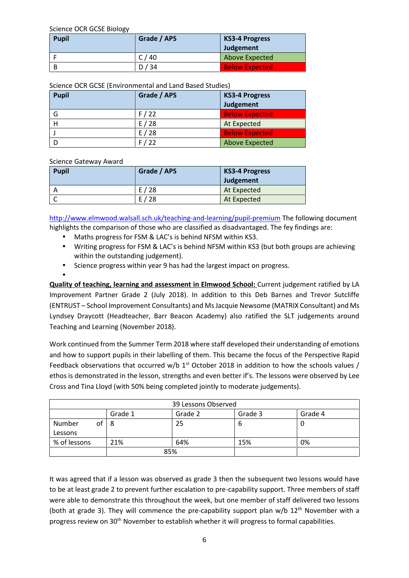Science OCR GCSE Biology

| <b>Pupil</b> | Grade / APS | <b>KS3-4 Progress</b> |
|--------------|-------------|-----------------------|
|              |             | Judgement             |
|              | C/40        | <b>Above Expected</b> |
| B            | D/34        | <b>Below Expected</b> |

Science OCR GCSE (Environmental and Land Based Studies)

| <b>Pupil</b> | Grade / APS | <b>KS3-4 Progress</b><br>Judgement |
|--------------|-------------|------------------------------------|
| G            | F/22        | <b>Below Expected</b>              |
|              | E/28        | At Expected                        |
|              | E/28        | <b>Below Expected</b>              |
|              | F/22        | <b>Above Expected</b>              |

#### Science Gateway Award

| <b>Pupil</b> | Grade / APS | KS3-4 Progress |  |
|--------------|-------------|----------------|--|
|              |             | Judgement      |  |
|              | E/28        | At Expected    |  |
|              | E/28        | At Expected    |  |

http://www.elmwood.walsall.sch.uk/teaching-and-learning/pupil-premium The following document highlights the comparison of those who are classified as disadvantaged. The fey findings are:

- Maths progress for FSM & LAC's is behind NFSM within KS3.
- Writing progress for FSM & LAC's is behind NFSM within KS3 (but both groups are achieving within the outstanding judgement).
- Science progress within year 9 has had the largest impact on progress.

#### $\bullet$  and  $\bullet$

**Quality of teaching, learning and assessment in Elmwood School:** Current judgement ratified by LA Improvement Partner Grade 2 (July 2018). In addition to this Deb Barnes and Trevor Sutcliffe (ENTRUST – School Improvement Consultants) and Ms Jacquie Newsome (MATRIX Consultant) and Ms Lyndsey Draycott (Headteacher, Barr Beacon Academy) also ratified the SLT judgements around Teaching and Learning (November 2018).

Work continued from the Summer Term 2018 where staff developed their understanding of emotions and how to support pupils in their labelling of them. This became the focus of the Perspective Rapid Feedback observations that occurred w/b  $1<sup>st</sup>$  October 2018 in addition to how the schools values / ethos is demonstrated in the lesson, strengths and even better if's. The lessons were observed by Lee Cross and Tina Lloyd (with 50% being completed jointly to moderate judgements).

| 39 Lessons Observed |         |         |         |         |  |  |  |
|---------------------|---------|---------|---------|---------|--|--|--|
|                     | Grade 1 | Grade 2 | Grade 3 | Grade 4 |  |  |  |
| Number<br>οf        | -8      | 25      | b       |         |  |  |  |
| Lessons             |         |         |         |         |  |  |  |
| % of lessons        | 21%     | 64%     | 15%     | 0%      |  |  |  |
|                     | 85%     |         |         |         |  |  |  |

It was agreed that if a lesson was observed as grade 3 then the subsequent two lessons would have to be at least grade 2 to prevent further escalation to pre-capability support. Three members of staff were able to demonstrate this throughout the week, but one member of staff delivered two lessons (both at grade 3). They will commence the pre-capability support plan  $w/b$  12<sup>th</sup> November with a progress review on 30<sup>th</sup> November to establish whether it will progress to formal capabilities.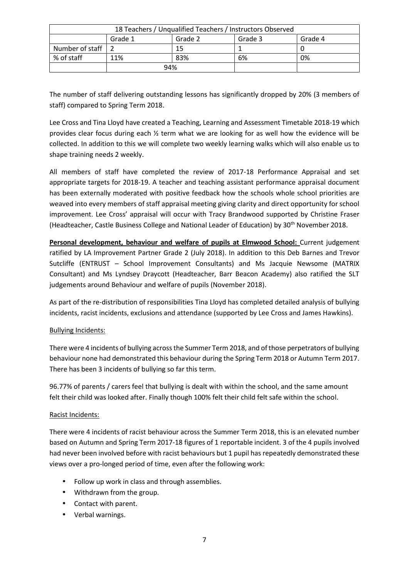| 18 Teachers / Unqualified Teachers / Instructors Observed |         |         |         |         |  |  |  |
|-----------------------------------------------------------|---------|---------|---------|---------|--|--|--|
|                                                           | Grade 1 | Grade 2 | Grade 3 | Grade 4 |  |  |  |
| Number of staff                                           |         | 15      |         |         |  |  |  |
| % of staff                                                | 11%     | 83%     | 6%      | 0%      |  |  |  |
|                                                           | 94%     |         |         |         |  |  |  |

The number of staff delivering outstanding lessons has significantly dropped by 20% (3 members of staff) compared to Spring Term 2018.

Lee Cross and Tina Lloyd have created a Teaching, Learning and Assessment Timetable 2018-19 which provides clear focus during each ½ term what we are looking for as well how the evidence will be collected. In addition to this we will complete two weekly learning walks which will also enable us to shape training needs 2 weekly.

All members of staff have completed the review of 2017-18 Performance Appraisal and set appropriate targets for 2018-19. A teacher and teaching assistant performance appraisal document has been externally moderated with positive feedback how the schools whole school priorities are weaved into every members of staff appraisal meeting giving clarity and direct opportunity for school improvement. Lee Cross' appraisal will occur with Tracy Brandwood supported by Christine Fraser (Headteacher, Castle Business College and National Leader of Education) by 30<sup>th</sup> November 2018.

**Personal development, behaviour and welfare of pupils at Elmwood School:** Current judgement ratified by LA Improvement Partner Grade 2 (July 2018). In addition to this Deb Barnes and Trevor Sutcliffe (ENTRUST – School Improvement Consultants) and Ms Jacquie Newsome (MATRIX Consultant) and Ms Lyndsey Draycott (Headteacher, Barr Beacon Academy) also ratified the SLT judgements around Behaviour and welfare of pupils (November 2018).

As part of the re-distribution of responsibilities Tina Lloyd has completed detailed analysis of bullying incidents, racist incidents, exclusions and attendance (supported by Lee Cross and James Hawkins).

## Bullying Incidents:

There were 4 incidents of bullying across the Summer Term 2018, and of those perpetrators of bullying behaviour none had demonstrated this behaviour during the Spring Term 2018 or Autumn Term 2017. There has been 3 incidents of bullying so far this term.

96.77% of parents / carers feel that bullying is dealt with within the school, and the same amount felt their child was looked after. Finally though 100% felt their child felt safe within the school.

#### Racist Incidents:

There were 4 incidents of racist behaviour across the Summer Term 2018, this is an elevated number based on Autumn and Spring Term 2017-18 figures of 1 reportable incident. 3 of the 4 pupils involved had never been involved before with racist behaviours but 1 pupil has repeatedly demonstrated these views over a pro-longed period of time, even after the following work:

- Follow up work in class and through assemblies.
- Withdrawn from the group.
- Contact with parent.
- Verbal warnings.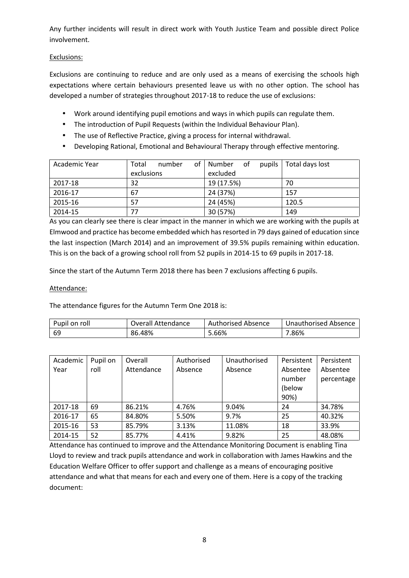Any further incidents will result in direct work with Youth Justice Team and possible direct Police involvement.

## Exclusions:

Exclusions are continuing to reduce and are only used as a means of exercising the schools high expectations where certain behaviours presented leave us with no other option. The school has developed a number of strategies throughout 2017-18 to reduce the use of exclusions:

- Work around identifying pupil emotions and ways in which pupils can regulate them.
- The introduction of Pupil Requests (within the Individual Behaviour Plan).
- The use of Reflective Practice, giving a process for internal withdrawal.
- Developing Rational, Emotional and Behavioural Therapy through effective mentoring.

| Academic Year | of <sub>l</sub><br>Total<br>number | 0f<br>Number<br>pupils | Total days lost |
|---------------|------------------------------------|------------------------|-----------------|
|               | exclusions                         | excluded               |                 |
| 2017-18       | 32                                 | 19 (17.5%)             | 70              |
| 2016-17       | 67                                 | 24 (37%)               | 157             |
| 2015-16       | 57                                 | 24 (45%)               | 120.5           |
| 2014-15       | 77                                 | 30 (57%)               | 149             |

As you can clearly see there is clear impact in the manner in which we are working with the pupils at Elmwood and practice has become embedded which has resorted in 79 days gained of education since the last inspection (March 2014) and an improvement of 39.5% pupils remaining within education. This is on the back of a growing school roll from 52 pupils in 2014-15 to 69 pupils in 2017-18.

Since the start of the Autumn Term 2018 there has been 7 exclusions affecting 6 pupils.

## Attendance:

The attendance figures for the Autumn Term One 2018 is:

| Pupil on roll | Overall Attendance | Authorised Absence | Unauthorised Absence |
|---------------|--------------------|--------------------|----------------------|
| -69           | 86.48%             | 5.66%              | '.86%                |

| Academic | Pupil on | Overall    | Authorised | Unauthorised | Persistent | Persistent |
|----------|----------|------------|------------|--------------|------------|------------|
| Year     | roll     | Attendance | Absence    | Absence      | Absentee   | Absentee   |
|          |          |            |            |              | number     | percentage |
|          |          |            |            |              | (below     |            |
|          |          |            |            |              | 90%)       |            |
| 2017-18  | 69       | 86.21%     | 4.76%      | 9.04%        | 24         | 34.78%     |
| 2016-17  | 65       | 84.80%     | 5.50%      | 9.7%         | 25         | 40.32%     |
| 2015-16  | 53       | 85.79%     | 3.13%      | 11.08%       | 18         | 33.9%      |
| 2014-15  | 52       | 85.77%     | 4.41%      | 9.82%        | 25         | 48.08%     |

Attendance has continued to improve and the Attendance Monitoring Document is enabling Tina Lloyd to review and track pupils attendance and work in collaboration with James Hawkins and the Education Welfare Officer to offer support and challenge as a means of encouraging positive attendance and what that means for each and every one of them. Here is a copy of the tracking document: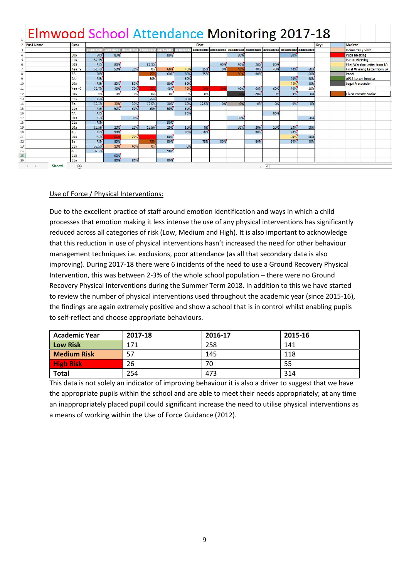| 3<br>5<br>6<br>8<br>9<br>10<br>11<br>12<br>13<br>14 | 104<br>11A<br>100<br>Year 0<br>7B<br>7A<br>104<br>Year 9<br>10A | .<br>50%<br>52.5%<br>7526<br>56.7%<br>50%<br>75%<br>75%<br>56.7%<br>C <sub>9</sub> | <b>PERMITTENT</b><br>80%<br>80%<br>50%<br>80%<br><b>40%</b> | 20%<br><b>B0%</b> | 3403446<br>87.5%<br>0%<br>75%<br>50% | 711177711170<br>80%<br>60%<br>60% | 40%<br>80%<br>60% | 200300200<br>25%<br>75% | 896896898<br>9096<br>0% | #########<br>80%<br>80%<br>40%<br>801 | <b>HUAHHAHHA</b><br>20%<br>40% | <b>HEAVEANEA</b><br>80%<br>40% | <b>MOJNOJNO</b><br>80%<br>40% | #########<br>60% | Home Call / Visit<br><b>Pupil Meeting</b><br><b>Parent Meeting</b><br>First Werning Letter from LA |  |
|-----------------------------------------------------|-----------------------------------------------------------------|------------------------------------------------------------------------------------|-------------------------------------------------------------|-------------------|--------------------------------------|-----------------------------------|-------------------|-------------------------|-------------------------|---------------------------------------|--------------------------------|--------------------------------|-------------------------------|------------------|----------------------------------------------------------------------------------------------------|--|
|                                                     |                                                                 |                                                                                    |                                                             |                   |                                      |                                   |                   |                         |                         |                                       |                                |                                |                               |                  |                                                                                                    |  |
|                                                     |                                                                 |                                                                                    |                                                             |                   |                                      |                                   |                   |                         |                         |                                       |                                |                                |                               |                  |                                                                                                    |  |
|                                                     |                                                                 |                                                                                    |                                                             |                   |                                      |                                   |                   |                         |                         |                                       |                                |                                |                               |                  |                                                                                                    |  |
|                                                     |                                                                 |                                                                                    |                                                             |                   |                                      |                                   |                   |                         |                         |                                       |                                |                                |                               |                  |                                                                                                    |  |
|                                                     |                                                                 |                                                                                    |                                                             |                   |                                      |                                   |                   |                         |                         |                                       |                                |                                |                               |                  | <b>Final Warning Letter from LA</b>                                                                |  |
|                                                     |                                                                 |                                                                                    |                                                             |                   |                                      |                                   |                   |                         |                         |                                       | <b>B0%</b>                     |                                |                               | 60%              | Panel                                                                                              |  |
|                                                     |                                                                 |                                                                                    |                                                             |                   |                                      |                                   |                   |                         |                         |                                       |                                |                                | 40%                           | 60%              | <b>AP12 Letter from LA</b>                                                                         |  |
|                                                     |                                                                 |                                                                                    |                                                             |                   |                                      | 80%                               | 80%               |                         |                         |                                       |                                |                                | 40%                           | 80%              | <b>Legal Prosecution</b>                                                                           |  |
|                                                     |                                                                 |                                                                                    |                                                             | 60%               | 25                                   | 40%                               | 40%               | <b>SOR</b>              |                         | <b>40%</b>                            | 60%                            | <b>60%</b>                     | 40%                           | 20%              |                                                                                                    |  |
|                                                     |                                                                 |                                                                                    | 0%                                                          | 0%                | OK                                   | 095                               | 0%                | 0%                      |                         |                                       | 20%                            | 0%                             | 0%                            | 0%               | <b>Fixed Penalty Notice</b>                                                                        |  |
|                                                     | 11 <sub>D</sub>                                                 | 75%                                                                                |                                                             |                   | 75%                                  |                                   | 80%               |                         |                         |                                       |                                |                                |                               |                  |                                                                                                    |  |
|                                                     | 7b                                                              | 37.5%                                                                              | 30%                                                         | 30%               | 37.5%                                | 20%                               | 40%               | 12.5%                   | O%                      | 0%                                    | 0%                             | 0%                             | O <sub>N</sub>                | 0%               |                                                                                                    |  |
| 15                                                  | 115                                                             | 15%                                                                                | <b>60%</b>                                                  | <b>BU%</b>        | $-0%$                                | 60%                               | <b>60%</b>        |                         |                         |                                       |                                |                                |                               |                  |                                                                                                    |  |
| 16                                                  | 7A                                                              | 75%                                                                                |                                                             |                   |                                      |                                   | 80%               |                         |                         |                                       |                                | 80%                            |                               |                  |                                                                                                    |  |
| 17                                                  | 103                                                             | 75%                                                                                |                                                             | 90%               |                                      |                                   |                   |                         |                         | 80%                                   |                                |                                |                               | 60%              |                                                                                                    |  |
| 18                                                  | 11a                                                             | 75%                                                                                |                                                             |                   |                                      | 90%                               |                   |                         |                         |                                       |                                |                                |                               |                  |                                                                                                    |  |
| 19                                                  | 10э                                                             | 12.5%                                                                              | 20%                                                         | 20%               | 125%                                 | 20%                               | 10%               | 0%                      |                         | 20%                                   | 20%                            | 20%                            | 20%                           | 20%              |                                                                                                    |  |
| 20                                                  | 8 <sub>b</sub>                                                  | 75%                                                                                | 90%                                                         |                   |                                      |                                   | 80%               | 50%                     |                         |                                       | 80%                            |                                | 90%                           |                  |                                                                                                    |  |
| 21                                                  | 10 <sub>D</sub>                                                 | 75%                                                                                |                                                             | 70%               |                                      | 80%                               |                   |                         |                         |                                       |                                |                                | 80%                           | 80%              |                                                                                                    |  |
| 22                                                  | 8a                                                              | 75%                                                                                | 80%                                                         |                   | 753                                  | 80%                               |                   | 75%                     | 80%                     |                                       | 80%                            |                                | 60%                           | 80%              |                                                                                                    |  |
| 23                                                  | 11 <sub>b</sub>                                                 | 37.5%                                                                              | 10%                                                         | 40%               | 0%                                   |                                   | O <sub>2</sub>    |                         |                         |                                       |                                |                                |                               |                  |                                                                                                    |  |
| 24<br>8 <sub>L</sub>                                |                                                                 | 87.5%                                                                              |                                                             |                   |                                      | 90%                               |                   |                         |                         |                                       |                                |                                |                               |                  |                                                                                                    |  |
| 25<br>26                                            | 113<br>11a                                                      |                                                                                    | 00%<br>80%                                                  | <b>B0%</b>        |                                      | 80%                               |                   |                         |                         |                                       |                                |                                |                               |                  |                                                                                                    |  |

## Use of Force / Physical Interventions:

Due to the excellent practice of staff around emotion identification and ways in which a child processes that emotion making it less intense the use of any physical interventions has significantly reduced across all categories of risk (Low, Medium and High). It is also important to acknowledge that this reduction in use of physical interventions hasn't increased the need for other behaviour management techniques i.e. exclusions, poor attendance (as all that secondary data is also improving). During 2017-18 there were 6 incidents of the need to use a Ground Recovery Physical Intervention, this was between 2-3% of the whole school population – there were no Ground Recovery Physical Interventions during the Summer Term 2018. In addition to this we have started to review the number of physical interventions used throughout the academic year (since 2015-16), the findings are again extremely positive and show a school that is in control whilst enabling pupils to self-reflect and choose appropriate behaviours.

| <b>Academic Year</b> | 2017-18 | 2016-17 | 2015-16 |
|----------------------|---------|---------|---------|
| <b>Low Risk</b>      | 171     | 258     | 141     |
| <b>Medium Risk</b>   | 57      | 145     | 118     |
| <b>High Risk</b>     | 26      | 70      | 55      |
| <b>Total</b>         | 254     | 473     | 314     |

This data is not solely an indicator of improving behaviour it is also a driver to suggest that we have the appropriate pupils within the school and are able to meet their needs appropriately; at any time an inappropriately placed pupil could significant increase the need to utilise physical interventions as a means of working within the Use of Force Guidance (2012).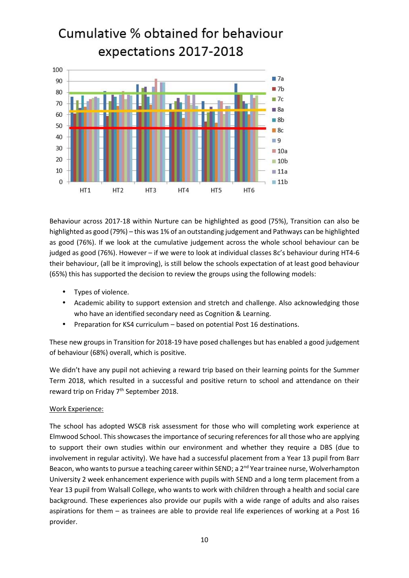

Behaviour across 2017-18 within Nurture can be highlighted as good (75%), Transition can also be highlighted as good (79%) – this was 1% of an outstanding judgement and Pathways can be highlighted as good (76%). If we look at the cumulative judgement across the whole school behaviour can be judged as good (76%). However – if we were to look at individual classes 8c's behaviour during HT4-6 their behaviour, (all be it improving), is still below the schools expectation of at least good behaviour (65%) this has supported the decision to review the groups using the following models:

- Types of violence.
- Academic ability to support extension and stretch and challenge. Also acknowledging those who have an identified secondary need as Cognition & Learning.
- Preparation for KS4 curriculum based on potential Post 16 destinations.

These new groups in Transition for 2018-19 have posed challenges but has enabled a good judgement of behaviour (68%) overall, which is positive.

We didn't have any pupil not achieving a reward trip based on their learning points for the Summer Term 2018, which resulted in a successful and positive return to school and attendance on their reward trip on Friday 7<sup>th</sup> September 2018.

#### Work Experience:

The school has adopted WSCB risk assessment for those who will completing work experience at Elmwood School. This showcases the importance of securing references for all those who are applying to support their own studies within our environment and whether they require a DBS (due to involvement in regular activity). We have had a successful placement from a Year 13 pupil from Barr Beacon, who wants to pursue a teaching career within SEND; a 2<sup>nd</sup> Year trainee nurse, Wolverhampton University 2 week enhancement experience with pupils with SEND and a long term placement from a Year 13 pupil from Walsall College, who wants to work with children through a health and social care background. These experiences also provide our pupils with a wide range of adults and also raises aspirations for them – as trainees are able to provide real life experiences of working at a Post 16 provider.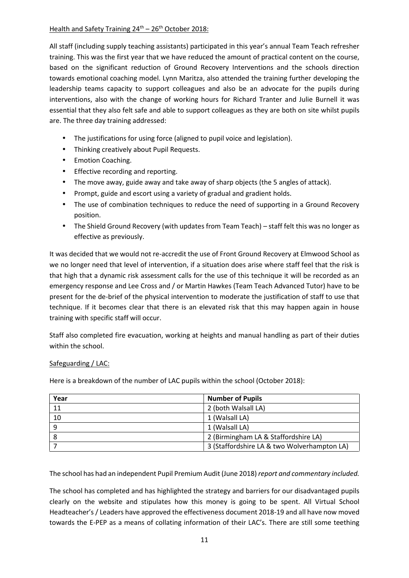#### Health and Safety Training  $24<sup>th</sup> - 26<sup>th</sup>$  October 2018:

All staff (including supply teaching assistants) participated in this year's annual Team Teach refresher training. This was the first year that we have reduced the amount of practical content on the course, based on the significant reduction of Ground Recovery Interventions and the schools direction towards emotional coaching model. Lynn Maritza, also attended the training further developing the leadership teams capacity to support colleagues and also be an advocate for the pupils during interventions, also with the change of working hours for Richard Tranter and Julie Burnell it was essential that they also felt safe and able to support colleagues as they are both on site whilst pupils are. The three day training addressed:

- The justifications for using force (aligned to pupil voice and legislation).
- Thinking creatively about Pupil Requests.
- Emotion Coaching.
- Effective recording and reporting.
- The move away, guide away and take away of sharp objects (the 5 angles of attack).
- Prompt, guide and escort using a variety of gradual and gradient holds.
- The use of combination techniques to reduce the need of supporting in a Ground Recovery position.
- The Shield Ground Recovery (with updates from Team Teach) staff felt this was no longer as effective as previously.

It was decided that we would not re-accredit the use of Front Ground Recovery at Elmwood School as we no longer need that level of intervention, if a situation does arise where staff feel that the risk is that high that a dynamic risk assessment calls for the use of this technique it will be recorded as an emergency response and Lee Cross and / or Martin Hawkes (Team Teach Advanced Tutor) have to be present for the de-brief of the physical intervention to moderate the justification of staff to use that technique. If it becomes clear that there is an elevated risk that this may happen again in house training with specific staff will occur.

Staff also completed fire evacuation, working at heights and manual handling as part of their duties within the school.

#### Safeguarding / LAC:

| Year | <b>Number of Pupils</b>                     |
|------|---------------------------------------------|
| 11   | 2 (both Walsall LA)                         |
| 10   | 1 (Walsall LA)                              |
| 9    | 1 (Walsall LA)                              |
| -8   | 2 (Birmingham LA & Staffordshire LA)        |
|      | 3 (Staffordshire LA & two Wolverhampton LA) |

Here is a breakdown of the number of LAC pupils within the school (October 2018):

The school has had an independent Pupil Premium Audit (June 2018) *report and commentary included.*

The school has completed and has highlighted the strategy and barriers for our disadvantaged pupils clearly on the website and stipulates how this money is going to be spent. All Virtual School Headteacher's / Leaders have approved the effectiveness document 2018-19 and all have now moved towards the E-PEP as a means of collating information of their LAC's. There are still some teething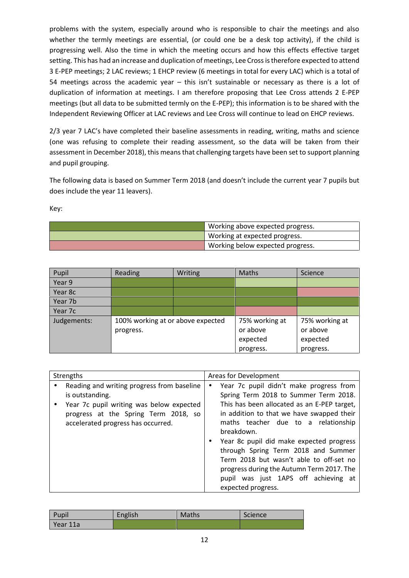problems with the system, especially around who is responsible to chair the meetings and also whether the termly meetings are essential, (or could one be a desk top activity), if the child is progressing well. Also the time in which the meeting occurs and how this effects effective target setting. This has had an increase and duplication of meetings, Lee Cross is therefore expected to attend 3 E-PEP meetings; 2 LAC reviews; 1 EHCP review (6 meetings in total for every LAC) which is a total of 54 meetings across the academic year – this isn't sustainable or necessary as there is a lot of duplication of information at meetings. I am therefore proposing that Lee Cross attends 2 E-PEP meetings (but all data to be submitted termly on the E-PEP); this information is to be shared with the Independent Reviewing Officer at LAC reviews and Lee Cross will continue to lead on EHCP reviews.

2/3 year 7 LAC's have completed their baseline assessments in reading, writing, maths and science (one was refusing to complete their reading assessment, so the data will be taken from their assessment in December 2018), this means that challenging targets have been set to support planning and pupil grouping.

The following data is based on Summer Term 2018 (and doesn't include the current year 7 pupils but does include the year 11 leavers).

Key:

| Working above expected progress. |
|----------------------------------|
| Working at expected progress.    |
| Working below expected progress. |

| Pupil       | <b>Reading</b>                    | <b>Writing</b> | <b>Maths</b>   | Science        |
|-------------|-----------------------------------|----------------|----------------|----------------|
| Year 9      |                                   |                |                |                |
| Year 8c     |                                   |                |                |                |
| Year 7b     |                                   |                |                |                |
| Year 7c     |                                   |                |                |                |
| Judgements: | 100% working at or above expected |                | 75% working at | 75% working at |
|             | progress.                         |                | or above       | or above       |
|             |                                   |                | expected       | expected       |
|             |                                   |                | progress.      | progress.      |

| Pupil    | English | <b>Maths</b> | Science |
|----------|---------|--------------|---------|
| Year 11a |         |              |         |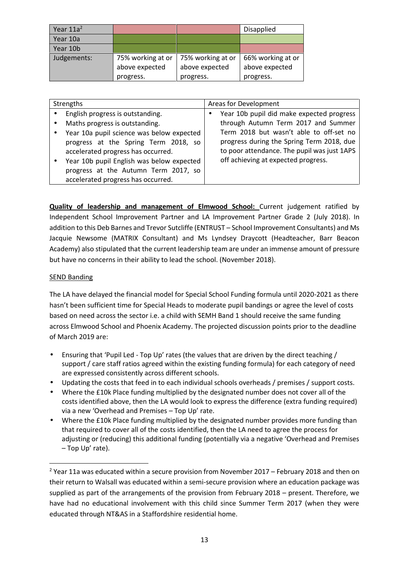| Year $11a^2$ |                                     |                                     | <b>Disapplied</b>                   |
|--------------|-------------------------------------|-------------------------------------|-------------------------------------|
| Year 10a     |                                     |                                     |                                     |
| Year 10b     |                                     |                                     |                                     |
| Judgements:  | 75% working at or<br>above expected | 75% working at or<br>above expected | 66% working at or<br>above expected |
|              | progress.                           | progress.                           | progress.                           |

| Strengths |                                                                            | Areas for Development |                                                                                          |
|-----------|----------------------------------------------------------------------------|-----------------------|------------------------------------------------------------------------------------------|
|           | English progress is outstanding.                                           | $\bullet$             | Year 10b pupil did make expected progress                                                |
|           | Maths progress is outstanding.                                             |                       | through Autumn Term 2017 and Summer                                                      |
|           | Year 10a pupil science was below expected                                  |                       | Term 2018 but wasn't able to off-set no                                                  |
|           | progress at the Spring Term 2018, so<br>accelerated progress has occurred. |                       | progress during the Spring Term 2018, due<br>to poor attendance. The pupil was just 1APS |
|           | Year 10b pupil English was below expected                                  |                       | off achieving at expected progress.                                                      |
|           | progress at the Autumn Term 2017, so                                       |                       |                                                                                          |
|           | accelerated progress has occurred.                                         |                       |                                                                                          |

**Quality of leadership and management of Elmwood School:** Current judgement ratified by Independent School Improvement Partner and LA Improvement Partner Grade 2 (July 2018). In addition to this Deb Barnes and Trevor Sutcliffe (ENTRUST – School Improvement Consultants) and Ms Jacquie Newsome (MATRIX Consultant) and Ms Lyndsey Draycott (Headteacher, Barr Beacon Academy) also stipulated that the current leadership team are under an immense amount of pressure but have no concerns in their ability to lead the school. (November 2018).

#### SEND Banding

The LA have delayed the financial model for Special School Funding formula until 2020-2021 as there hasn't been sufficient time for Special Heads to moderate pupil bandings or agree the level of costs based on need across the sector i.e. a child with SEMH Band 1 should receive the same funding across Elmwood School and Phoenix Academy. The projected discussion points prior to the deadline of March 2019 are:

- Ensuring that 'Pupil Led Top Up' rates (the values that are driven by the direct teaching / support / care staff ratios agreed within the existing funding formula) for each category of need are expressed consistently across different schools.
- Updating the costs that feed in to each individual schools overheads / premises / support costs.
- Where the £10k Place funding multiplied by the designated number does not cover all of the costs identified above, then the LA would look to express the difference (extra funding required) via a new 'Overhead and Premises – Top Up' rate.
- Where the £10k Place funding multiplied by the designated number provides more funding than that required to cover all of the costs identified, then the LA need to agree the process for adjusting or (reducing) this additional funding (potentially via a negative 'Overhead and Premises – Top Up' rate).

<sup>&</sup>lt;sup>2</sup> Year 11a was educated within a secure provision from November 2017 – February 2018 and then on their return to Walsall was educated within a semi-secure provision where an education package was supplied as part of the arrangements of the provision from February 2018 – present. Therefore, we have had no educational involvement with this child since Summer Term 2017 (when they were educated through NT&AS in a Staffordshire residential home.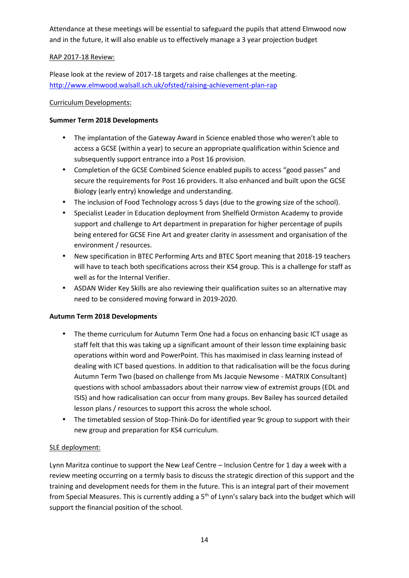Attendance at these meetings will be essential to safeguard the pupils that attend Elmwood now and in the future, it will also enable us to effectively manage a 3 year projection budget

## RAP 2017-18 Review:

Please look at the review of 2017-18 targets and raise challenges at the meeting. http://www.elmwood.walsall.sch.uk/ofsted/raising-achievement-plan-rap

## Curriculum Developments:

## **Summer Term 2018 Developments**

- The implantation of the Gateway Award in Science enabled those who weren't able to access a GCSE (within a year) to secure an appropriate qualification within Science and subsequently support entrance into a Post 16 provision.
- Completion of the GCSE Combined Science enabled pupils to access "good passes" and secure the requirements for Post 16 providers. It also enhanced and built upon the GCSE Biology (early entry) knowledge and understanding.
- The inclusion of Food Technology across 5 days (due to the growing size of the school).
- Specialist Leader in Education deployment from Shelfield Ormiston Academy to provide support and challenge to Art department in preparation for higher percentage of pupils being entered for GCSE Fine Art and greater clarity in assessment and organisation of the environment / resources.
- New specification in BTEC Performing Arts and BTEC Sport meaning that 2018-19 teachers will have to teach both specifications across their KS4 group. This is a challenge for staff as well as for the Internal Verifier.
- ASDAN Wider Key Skills are also reviewing their qualification suites so an alternative may need to be considered moving forward in 2019-2020.

## **Autumn Term 2018 Developments**

- The theme curriculum for Autumn Term One had a focus on enhancing basic ICT usage as staff felt that this was taking up a significant amount of their lesson time explaining basic operations within word and PowerPoint. This has maximised in class learning instead of dealing with ICT based questions. In addition to that radicalisation will be the focus during Autumn Term Two (based on challenge from Ms Jacquie Newsome - MATRIX Consultant) questions with school ambassadors about their narrow view of extremist groups (EDL and ISIS) and how radicalisation can occur from many groups. Bev Bailey has sourced detailed lesson plans / resources to support this across the whole school.
- The timetabled session of Stop-Think-Do for identified year 9c group to support with their new group and preparation for KS4 curriculum.

## SLE deployment:

Lynn Maritza continue to support the New Leaf Centre – Inclusion Centre for 1 day a week with a review meeting occurring on a termly basis to discuss the strategic direction of this support and the training and development needs for them in the future. This is an integral part of their movement from Special Measures. This is currently adding a  $5<sup>th</sup>$  of Lynn's salary back into the budget which will support the financial position of the school.